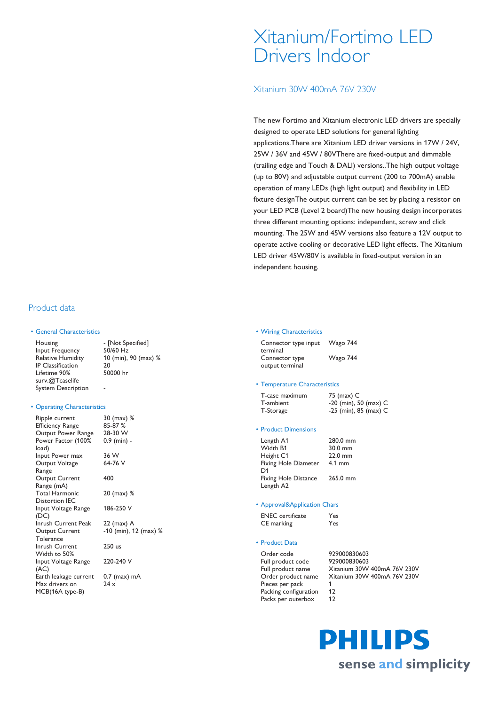# Xitanium/Fortimo LED Drivers Indoor

Xitanium 30W 400mA 76V 230V

The new Fortimo and Xitanium electronic LED drivers are specially designed to operate LED solutions for general lighting applications.There are Xitanium LED driver versions in 17W / 24V, 25W / 36V and 45W / 80VThere are fixed-output and dimmable (trailing edge and Touch & DALI) versions..The high output voltage (up to 80V) and adjustable output current (200 to 700mA) enable operation of many LEDs (high light output) and flexibility in LED fixture designThe output current can be set by placing a resistor on your LED PCB (Level 2 board)The new housing design incorporates three different mounting options: independent, screw and click mounting. The 25W and 45W versions also feature a 12V output to operate active cooling or decorative LED light effects. The Xitanium LED driver 45W/80V is available in fixed-output version in an independent housing.

# Product data

#### • General Characteristics

| Housing                   | - [Not Specified]    |
|---------------------------|----------------------|
| Input Frequency           | 50/60 Hz             |
| <b>Relative Humidity</b>  | 10 (min), 90 (max) % |
| <b>IP</b> Classification  | 20                   |
| Lifetime 90%              | 50000 hr             |
| surv.@Tcaselife           |                      |
| <b>System Description</b> |                      |

#### • Operating Characteristics

| Ripple current<br>Efficiency Range | 30 (max) %<br>85-87 % |
|------------------------------------|-----------------------|
| Output Power Range                 | 28-30 W               |
| Power Factor (100%                 | 0.9 (min) -           |
| load)                              |                       |
| Input Power max                    | 36 W                  |
| Output Voltage                     | 64-76 V               |
| Range                              |                       |
| Output Current                     | 400                   |
| Range (mA)                         |                       |
| <b>Total Harmonic</b>              | 20 (max) %            |
| <b>Distortion IEC</b>              |                       |
| Input Voltage Range                | 186-250 V             |
| (DC)                               |                       |
| Inrush Current Peak                | 22 (max) A            |
| Output Current                     | -10 (min), 12 (max) % |
| Tolerance                          |                       |
| Inrush Current                     | 250 us                |
| Width to 50%                       |                       |
| Input Voltage Range                | 220-240 V             |
| (AC)                               |                       |
| Earth leakage current              | 0.7 (max) mA          |
| Max drivers on                     | 24x                   |
| MCB(16A type-B)                    |                       |

#### • Wiring Characteristics

| Connector type input | Wago 744 |
|----------------------|----------|
| terminal             |          |
| Connector type       | Wago 744 |
| output terminal      |          |

#### • Temperature Characteristics

| T-case maximum | 75 (max) C              |
|----------------|-------------------------|
| T-ambient      | $-20$ (min), 50 (max) C |
| T-Storage      | $-25$ (min), 85 (max) C |

#### • Product Dimensions

| Length A1                   | 280.0 mm         |
|-----------------------------|------------------|
| Width B1                    | 30.0 mm          |
| Height C1                   | 22.0 mm          |
| Fixing Hole Diameter        | $4.1 \text{ mm}$ |
| D <sub>1</sub>              |                  |
| <b>Fixing Hole Distance</b> | 265.0 mm         |
| Length A2                   |                  |
|                             |                  |

#### • Approval&Application Chars

| <b>ENEC</b> certificate | Yes |
|-------------------------|-----|
| CE marking              | Yes |

### • Product Data

Full product code 929000830603 Pieces per pack 1 Packing configuration 12 Packs per outerbox 12

Order code 929000830603 Full product name Xitanium 30W 400mA 76V 230V Order product name Xitanium 30W 400mA 76V 230V